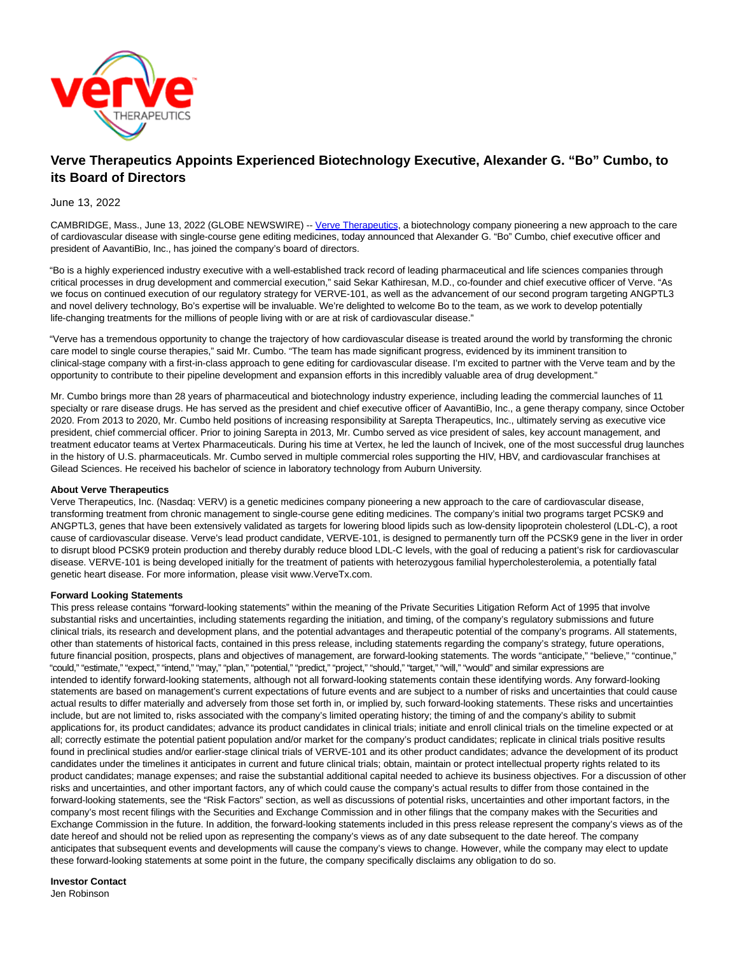

# **Verve Therapeutics Appoints Experienced Biotechnology Executive, Alexander G. "Bo" Cumbo, to its Board of Directors**

## June 13, 2022

CAMBRIDGE, Mass., June 13, 2022 (GLOBE NEWSWIRE) -- [Verve Therapeutics,](https://www.globenewswire.com/Tracker?data=BD7zrAev_rf0YdoPpHkYJtKen0YrARUJVuH6Sv-WmcbLCqpK5klDl9n0tGk4ybXG5qxEdo9PoBnsMWkqgQwI9g==) a biotechnology company pioneering a new approach to the care of cardiovascular disease with single-course gene editing medicines, today announced that Alexander G. "Bo" Cumbo, chief executive officer and president of AavantiBio, Inc., has joined the company's board of directors.

"Bo is a highly experienced industry executive with a well-established track record of leading pharmaceutical and life sciences companies through critical processes in drug development and commercial execution," said Sekar Kathiresan, M.D., co-founder and chief executive officer of Verve. "As we focus on continued execution of our regulatory strategy for VERVE-101, as well as the advancement of our second program targeting ANGPTL3 and novel delivery technology, Bo's expertise will be invaluable. We're delighted to welcome Bo to the team, as we work to develop potentially life-changing treatments for the millions of people living with or are at risk of cardiovascular disease."

"Verve has a tremendous opportunity to change the trajectory of how cardiovascular disease is treated around the world by transforming the chronic care model to single course therapies," said Mr. Cumbo. "The team has made significant progress, evidenced by its imminent transition to clinical-stage company with a first-in-class approach to gene editing for cardiovascular disease. I'm excited to partner with the Verve team and by the opportunity to contribute to their pipeline development and expansion efforts in this incredibly valuable area of drug development."

Mr. Cumbo brings more than 28 years of pharmaceutical and biotechnology industry experience, including leading the commercial launches of 11 specialty or rare disease drugs. He has served as the president and chief executive officer of AavantiBio, Inc., a gene therapy company, since October 2020. From 2013 to 2020, Mr. Cumbo held positions of increasing responsibility at Sarepta Therapeutics, Inc., ultimately serving as executive vice president, chief commercial officer. Prior to joining Sarepta in 2013, Mr. Cumbo served as vice president of sales, key account management, and treatment educator teams at Vertex Pharmaceuticals. During his time at Vertex, he led the launch of Incivek, one of the most successful drug launches in the history of U.S. pharmaceuticals. Mr. Cumbo served in multiple commercial roles supporting the HIV, HBV, and cardiovascular franchises at Gilead Sciences. He received his bachelor of science in laboratory technology from Auburn University.

### **About Verve Therapeutics**

Verve Therapeutics, Inc. (Nasdaq: VERV) is a genetic medicines company pioneering a new approach to the care of cardiovascular disease, transforming treatment from chronic management to single-course gene editing medicines. The company's initial two programs target PCSK9 and ANGPTL3, genes that have been extensively validated as targets for lowering blood lipids such as low-density lipoprotein cholesterol (LDL-C), a root cause of cardiovascular disease. Verve's lead product candidate, VERVE-101, is designed to permanently turn off the PCSK9 gene in the liver in order to disrupt blood PCSK9 protein production and thereby durably reduce blood LDL-C levels, with the goal of reducing a patient's risk for cardiovascular disease. VERVE-101 is being developed initially for the treatment of patients with heterozygous familial hypercholesterolemia, a potentially fatal genetic heart disease. For more information, please visit www.VerveTx.com.

### **Forward Looking Statements**

This press release contains "forward-looking statements" within the meaning of the Private Securities Litigation Reform Act of 1995 that involve substantial risks and uncertainties, including statements regarding the initiation, and timing, of the company's regulatory submissions and future clinical trials, its research and development plans, and the potential advantages and therapeutic potential of the company's programs. All statements, other than statements of historical facts, contained in this press release, including statements regarding the company's strategy, future operations, future financial position, prospects, plans and objectives of management, are forward-looking statements. The words "anticipate," "believe," "continue,' "could," "estimate," "expect," "intend," "may," "plan," "potential," "predict," "project," "should," "target," "will," "would" and similar expressions are intended to identify forward-looking statements, although not all forward-looking statements contain these identifying words. Any forward-looking statements are based on management's current expectations of future events and are subject to a number of risks and uncertainties that could cause actual results to differ materially and adversely from those set forth in, or implied by, such forward-looking statements. These risks and uncertainties include, but are not limited to, risks associated with the company's limited operating history; the timing of and the company's ability to submit applications for, its product candidates; advance its product candidates in clinical trials; initiate and enroll clinical trials on the timeline expected or at all; correctly estimate the potential patient population and/or market for the company's product candidates; replicate in clinical trials positive results found in preclinical studies and/or earlier-stage clinical trials of VERVE-101 and its other product candidates; advance the development of its product candidates under the timelines it anticipates in current and future clinical trials; obtain, maintain or protect intellectual property rights related to its product candidates; manage expenses; and raise the substantial additional capital needed to achieve its business objectives. For a discussion of other risks and uncertainties, and other important factors, any of which could cause the company's actual results to differ from those contained in the forward-looking statements, see the "Risk Factors" section, as well as discussions of potential risks, uncertainties and other important factors, in the company's most recent filings with the Securities and Exchange Commission and in other filings that the company makes with the Securities and Exchange Commission in the future. In addition, the forward-looking statements included in this press release represent the company's views as of the date hereof and should not be relied upon as representing the company's views as of any date subsequent to the date hereof. The company anticipates that subsequent events and developments will cause the company's views to change. However, while the company may elect to update these forward-looking statements at some point in the future, the company specifically disclaims any obligation to do so.

#### **Investor Contact**

Jen Robinson